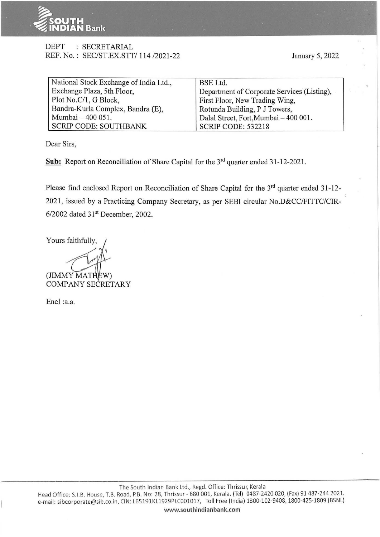

## DEPT : SECRETARIAL REF. No. : SEC/ST.EX.STT/ 114 /2021-22

| National Stock Exchange of India Ltd., | BSE Ltd.                                    |  |  |
|----------------------------------------|---------------------------------------------|--|--|
| Exchange Plaza, 5th Floor,             | Department of Corporate Services (Listing), |  |  |
| Plot No.C/1, G Block,                  | First Floor, New Trading Wing,              |  |  |
| Bandra-Kurla Complex, Bandra (E),      | Rotunda Building, P J Towers,               |  |  |
| Mumbai - 400 051.                      | Dalal Street, Fort, Mumbai - 400 001.       |  |  |
| SCRIP CODE: SOUTHBANK                  | SCRIP CODE: 532218                          |  |  |

Dear Sirs,

Sub: Report on Reconciliation of Share Capital for the 3<sup>rd</sup> quarter ended 31-12-2021.

Please find enclosed Report on Reconciliation of Share Capital for the 3<sup>rd</sup> quarter ended 31-12-2021, issued by a Practicing Company Secretary, as per SEBI circular No.D&CC/FITTC/CIR-6/2002 dated 31st December, 2002.

Yours faithfully,

 $(JIMMY MATHEW)$ COMPANY SECRETARY

Encl :a.a.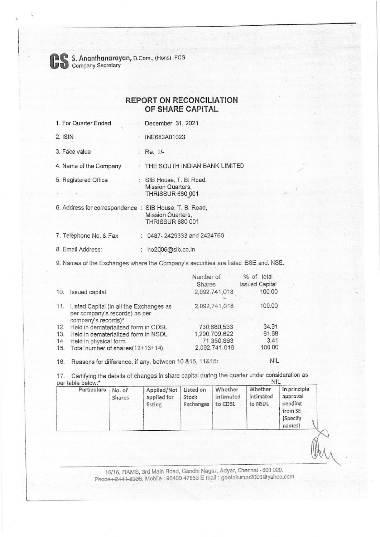**Company Secretary B.Com., (Hons). FCS**<br>
Company Secretary

## **REPORT ON RECONCILIATION OF SHARE CAPITAL**

| 1. For Quarter Ended           | : December 31, 2021                                                             |
|--------------------------------|---------------------------------------------------------------------------------|
| $2.$ ISIN                      | $:$ INE683A01023                                                                |
| 3. Face value                  | : Re. 1/-                                                                       |
| 4. Name of the Company         | THE SOUTH INDIAN BANK LIMITED                                                   |
| 5. Registered Office           | : SIB House, T. B. Road,<br><b>Mission Quarters,</b><br><b>THRISSUR 680 001</b> |
| 6. Address for correspondence: | SIB House, T. B. Road,<br>Mission Quarters,<br><b>THRISSUR 680 001</b>          |
| 7. Telephone No. & Fax         | 0487-2429333 and 2424760                                                        |
| 8. Email Address:              | : ho2006@sib.co.in                                                              |

9. Names of the Exchanges where the Company's securities are listed: BSE and. NSE.

|     |                                                                                                     | Number of     | % of total            |
|-----|-----------------------------------------------------------------------------------------------------|---------------|-----------------------|
|     |                                                                                                     | Shares        | <b>Issued Capital</b> |
| 10. | Issued capital                                                                                      | 2,092,741,018 | 100.00                |
|     | 11. Listed Capital (in all the Exchanges as<br>per company's records) as per<br>company's records)* | 2,092,741,018 | 100.00                |
| 12. | Held in dematerialized form in CDSL                                                                 | 730,680,533   | 34.91                 |
| 13. | Held in dematerialized form in NSDL                                                                 | 1,290,709,622 | 61.68                 |
| 14. | Held in physical form                                                                               | 71,350,863    | 3.41                  |
|     | 15. Total number of shares(12+13+14)                                                                | 2,092,741,018 | 100.00                |

16. Reasons for difference, if any, between 10 &15, 11&15: NIL

17. Certifying the details of changes in share capital during the quarter under consideration as ner table below.\* per table below:\*

| Particulars | No. of<br>Shares | Applied/Not   Listed on<br>applied for<br>listing | Stock<br>Exchanges | Whether<br>intimated<br>to CDSL | Whether<br>intimated<br>to NSDL | In principle<br>approval<br>pending<br>from SE<br>(Specify)<br>names) |  |
|-------------|------------------|---------------------------------------------------|--------------------|---------------------------------|---------------------------------|-----------------------------------------------------------------------|--|
|-------------|------------------|---------------------------------------------------|--------------------|---------------------------------|---------------------------------|-----------------------------------------------------------------------|--|

16/16, RAMS, 3rd Main Road, Gandhi Nagar, Adyar, Chennai · 600 020. Phone :: 2444-8933, Mobile : 98400 47653 E-mail : geetakumar2000@yahoo.com